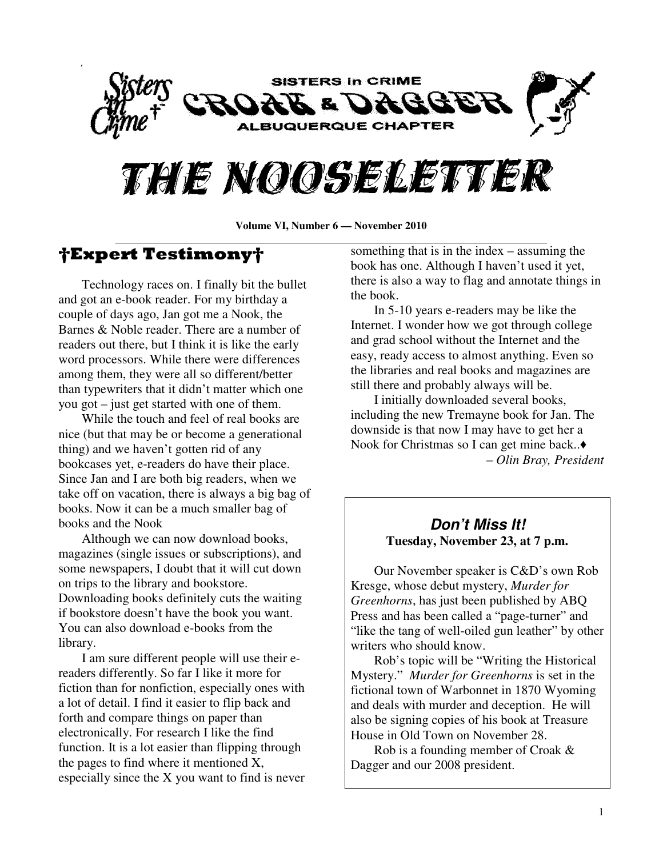

# THE NOOSELETTER

**Volume VI, Number 6 — November 2010** 

# †Expert Testimony†

 Technology races on. I finally bit the bullet and got an e-book reader. For my birthday a couple of days ago, Jan got me a Nook, the Barnes & Noble reader. There are a number of readers out there, but I think it is like the early word processors. While there were differences among them, they were all so different/better than typewriters that it didn't matter which one you got – just get started with one of them.

 While the touch and feel of real books are nice (but that may be or become a generational thing) and we haven't gotten rid of any bookcases yet, e-readers do have their place. Since Jan and I are both big readers, when we take off on vacation, there is always a big bag of books. Now it can be a much smaller bag of books and the Nook

 Although we can now download books, magazines (single issues or subscriptions), and some newspapers, I doubt that it will cut down on trips to the library and bookstore. Downloading books definitely cuts the waiting if bookstore doesn't have the book you want. You can also download e-books from the library.

 I am sure different people will use their ereaders differently. So far I like it more for fiction than for nonfiction, especially ones with a lot of detail. I find it easier to flip back and forth and compare things on paper than electronically. For research I like the find function. It is a lot easier than flipping through the pages to find where it mentioned X, especially since the X you want to find is never

something that is in the index – assuming the book has one. Although I haven't used it yet, there is also a way to flag and annotate things in the book.

 In 5-10 years e-readers may be like the Internet. I wonder how we got through college and grad school without the Internet and the easy, ready access to almost anything. Even so the libraries and real books and magazines are still there and probably always will be.

 I initially downloaded several books, including the new Tremayne book for Jan. The downside is that now I may have to get her a Nook for Christmas so I can get mine back..♦ – *Olin Bray, President* 

#### **Don't Miss It! Tuesday, November 23, at 7 p.m.**

Our November speaker is C&D's own Rob Kresge, whose debut mystery, *Murder for Greenhorns*, has just been published by ABQ Press and has been called a "page-turner" and "like the tang of well-oiled gun leather" by other writers who should know.

 Rob's topic will be "Writing the Historical Mystery." *Murder for Greenhorns* is set in the fictional town of Warbonnet in 1870 Wyoming and deals with murder and deception. He will also be signing copies of his book at Treasure House in Old Town on November 28.

 Rob is a founding member of Croak & Dagger and our 2008 president.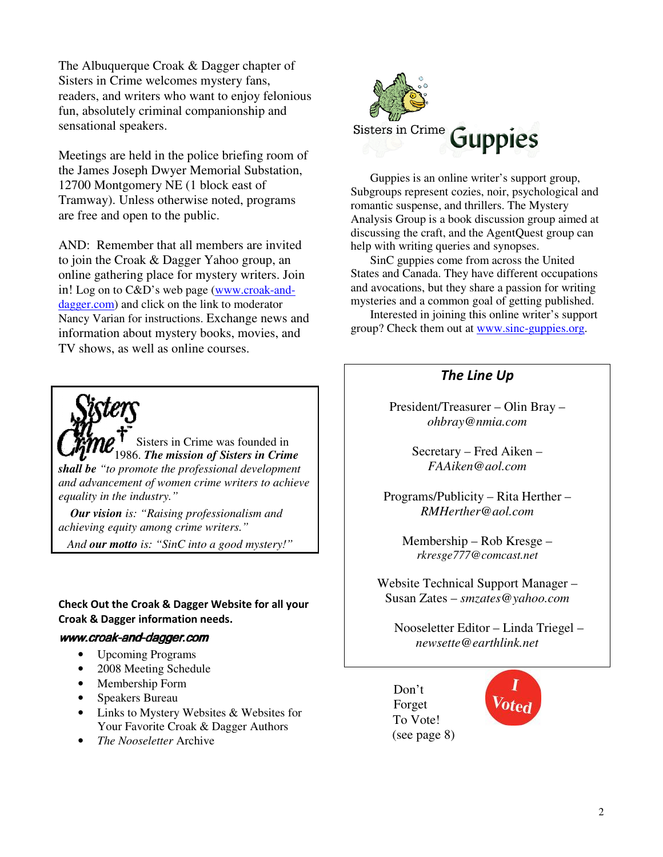The Albuquerque Croak & Dagger chapter of Sisters in Crime welcomes mystery fans, readers, and writers who want to enjoy felonious fun, absolutely criminal companionship and sensational speakers.

Meetings are held in the police briefing room of the James Joseph Dwyer Memorial Substation, 12700 Montgomery NE (1 block east of Tramway). Unless otherwise noted, programs are free and open to the public.

AND: Remember that all members are invited to join the Croak & Dagger Yahoo group, an online gathering place for mystery writers. Join in! Log on to C&D's web page (www.croak-anddagger.com) and click on the link to moderator Nancy Varian for instructions. Exchange news and information about mystery books, movies, and TV shows, as well as online courses.

Sisters in Crime was founded in 1986. *The mission of Sisters in Crime shall be "to promote the professional development and advancement of women crime writers to achieve equality in the industry."* 

 *Our vision is: "Raising professionalism and achieving equity among crime writers."* 

 *And our motto is: "SinC into a good mystery!"*

#### Check Out the Croak & Dagger Website for all your Croak & Dagger information needs.

#### www.croak-and-dagger.com

- Upcoming Programs
- 2008 Meeting Schedule
- Membership Form
- Speakers Bureau
- Links to Mystery Websites & Websites for Your Favorite Croak & Dagger Authors
- *The Nooseletter* Archive



Guppies is an online writer's support group, Subgroups represent cozies, noir, psychological and romantic suspense, and thrillers. The Mystery Analysis Group is a book discussion group aimed at discussing the craft, and the AgentQuest group can help with writing queries and synopses.

SinC guppies come from across the United States and Canada. They have different occupations and avocations, but they share a passion for writing mysteries and a common goal of getting published.

Interested in joining this online writer's support group? Check them out at www.sinc-guppies.org.

#### The Line Up

President/Treasurer – Olin Bray – *ohbray@nmia.com* 

> Secretary – Fred Aiken – *FAAiken@aol.com*

Programs/Publicity – Rita Herther – *RMHerther@aol.com* 

Membership – Rob Kresge – *rkresge777@comcast.net* 

Website Technical Support Manager – Susan Zates – *smzates@yahoo.com* 

 Nooseletter Editor – Linda Triegel – *newsette@earthlink.net* 

Don't Forget To Vote! (see page 8)

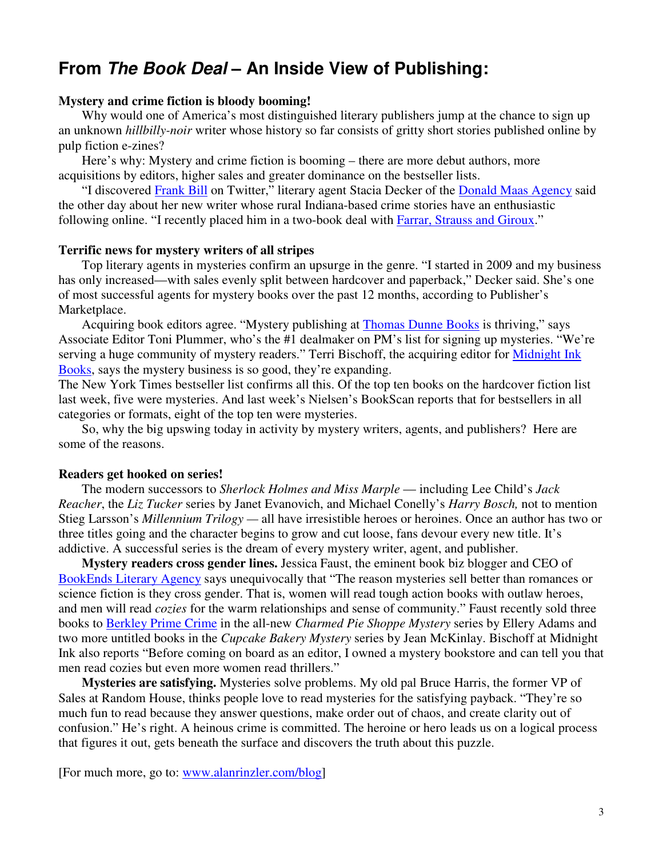# **From The Book Deal – An Inside View of Publishing:**

#### **Mystery and crime fiction is bloody booming!**

 Why would one of America's most distinguished literary publishers jump at the chance to sign up an unknown *hillbilly-noir* writer whose history so far consists of gritty short stories published online by pulp fiction e-zines?

 Here's why: Mystery and crime fiction is booming – there are more debut authors, more acquisitions by editors, higher sales and greater dominance on the bestseller lists.

 "I discovered Frank Bill on Twitter," literary agent Stacia Decker of the Donald Maas Agency said the other day about her new writer whose rural Indiana-based crime stories have an enthusiastic following online. "I recently placed him in a two-book deal with Farrar, Strauss and Giroux."

#### **Terrific news for mystery writers of all stripes**

 Top literary agents in mysteries confirm an upsurge in the genre. "I started in 2009 and my business has only increased—with sales evenly split between hardcover and paperback," Decker said. She's one of most successful agents for mystery books over the past 12 months, according to Publisher's Marketplace.

 Acquiring book editors agree. "Mystery publishing at Thomas Dunne Books is thriving," says Associate Editor Toni Plummer, who's the #1 dealmaker on PM's list for signing up mysteries. "We're serving a huge community of mystery readers." Terri Bischoff, the acquiring editor for Midnight Ink Books, says the mystery business is so good, they're expanding.

The New York Times bestseller list confirms all this. Of the top ten books on the hardcover fiction list last week, five were mysteries. And last week's Nielsen's BookScan reports that for bestsellers in all categories or formats, eight of the top ten were mysteries.

 So, why the big upswing today in activity by mystery writers, agents, and publishers? Here are some of the reasons.

#### **Readers get hooked on series!**

 The modern successors to *Sherlock Holmes and Miss Marple* — including Lee Child's *Jack Reacher*, the *Liz Tucker* series by Janet Evanovich, and Michael Conelly's *Harry Bosch,* not to mention Stieg Larsson's *Millennium Trilogy —* all have irresistible heroes or heroines. Once an author has two or three titles going and the character begins to grow and cut loose, fans devour every new title. It's addictive. A successful series is the dream of every mystery writer, agent, and publisher.

 **Mystery readers cross gender lines.** Jessica Faust, the eminent book biz blogger and CEO of BookEnds Literary Agency says unequivocally that "The reason mysteries sell better than romances or science fiction is they cross gender. That is, women will read tough action books with outlaw heroes, and men will read *cozies* for the warm relationships and sense of community." Faust recently sold three books to Berkley Prime Crime in the all-new *Charmed Pie Shoppe Mystery* series by Ellery Adams and two more untitled books in the *Cupcake Bakery Mystery* series by Jean McKinlay. Bischoff at Midnight Ink also reports "Before coming on board as an editor, I owned a mystery bookstore and can tell you that men read cozies but even more women read thrillers."

 **Mysteries are satisfying.** Mysteries solve problems. My old pal Bruce Harris, the former VP of Sales at Random House, thinks people love to read mysteries for the satisfying payback. "They're so much fun to read because they answer questions, make order out of chaos, and create clarity out of confusion." He's right. A heinous crime is committed. The heroine or hero leads us on a logical process that figures it out, gets beneath the surface and discovers the truth about this puzzle.

[For much more, go to: www.alanrinzler.com/blog]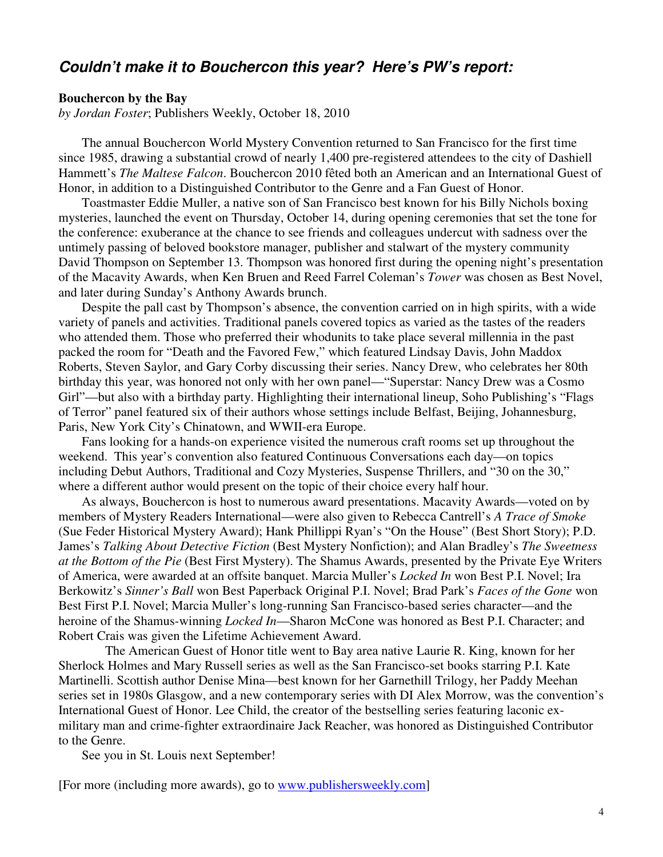### **Couldn't make it to Bouchercon this year? Here's PW's report:**

#### **Bouchercon by the Bay**

*by Jordan Foster*; Publishers Weekly, October 18, 2010

 The annual Bouchercon World Mystery Convention returned to San Francisco for the first time since 1985, drawing a substantial crowd of nearly 1,400 pre-registered attendees to the city of Dashiell Hammett's *The Maltese Falcon*. Bouchercon 2010 fêted both an American and an International Guest of Honor, in addition to a Distinguished Contributor to the Genre and a Fan Guest of Honor.

 Toastmaster Eddie Muller, a native son of San Francisco best known for his Billy Nichols boxing mysteries, launched the event on Thursday, October 14, during opening ceremonies that set the tone for the conference: exuberance at the chance to see friends and colleagues undercut with sadness over the untimely passing of beloved bookstore manager, publisher and stalwart of the mystery community David Thompson on September 13. Thompson was honored first during the opening night's presentation of the Macavity Awards, when Ken Bruen and Reed Farrel Coleman's *Tower* was chosen as Best Novel, and later during Sunday's Anthony Awards brunch.

 Despite the pall cast by Thompson's absence, the convention carried on in high spirits, with a wide variety of panels and activities. Traditional panels covered topics as varied as the tastes of the readers who attended them. Those who preferred their whodunits to take place several millennia in the past packed the room for "Death and the Favored Few," which featured Lindsay Davis, John Maddox Roberts, Steven Saylor, and Gary Corby discussing their series. Nancy Drew, who celebrates her 80th birthday this year, was honored not only with her own panel—"Superstar: Nancy Drew was a Cosmo Girl"—but also with a birthday party. Highlighting their international lineup, Soho Publishing's "Flags of Terror" panel featured six of their authors whose settings include Belfast, Beijing, Johannesburg, Paris, New York City's Chinatown, and WWII-era Europe.

 Fans looking for a hands-on experience visited the numerous craft rooms set up throughout the weekend. This year's convention also featured Continuous Conversations each day—on topics including Debut Authors, Traditional and Cozy Mysteries, Suspense Thrillers, and "30 on the 30," where a different author would present on the topic of their choice every half hour.

 As always, Bouchercon is host to numerous award presentations. Macavity Awards—voted on by members of Mystery Readers International—were also given to Rebecca Cantrell's *A Trace of Smoke* (Sue Feder Historical Mystery Award); Hank Phillippi Ryan's "On the House" (Best Short Story); P.D. James's *Talking About Detective Fiction* (Best Mystery Nonfiction); and Alan Bradley's *The Sweetness at the Bottom of the Pie* (Best First Mystery). The Shamus Awards, presented by the Private Eye Writers of America, were awarded at an offsite banquet. Marcia Muller's *Locked In* won Best P.I. Novel; Ira Berkowitz's *Sinner's Ball* won Best Paperback Original P.I. Novel; Brad Park's *Faces of the Gone* won Best First P.I. Novel; Marcia Muller's long-running San Francisco-based series character—and the heroine of the Shamus-winning *Locked In*—Sharon McCone was honored as Best P.I. Character; and Robert Crais was given the Lifetime Achievement Award.

 The American Guest of Honor title went to Bay area native Laurie R. King, known for her Sherlock Holmes and Mary Russell series as well as the San Francisco-set books starring P.I. Kate Martinelli. Scottish author Denise Mina—best known for her Garnethill Trilogy, her Paddy Meehan series set in 1980s Glasgow, and a new contemporary series with DI Alex Morrow, was the convention's International Guest of Honor. Lee Child, the creator of the bestselling series featuring laconic exmilitary man and crime-fighter extraordinaire Jack Reacher, was honored as Distinguished Contributor to the Genre.

See you in St. Louis next September!

[For more (including more awards), go to www.publishersweekly.com]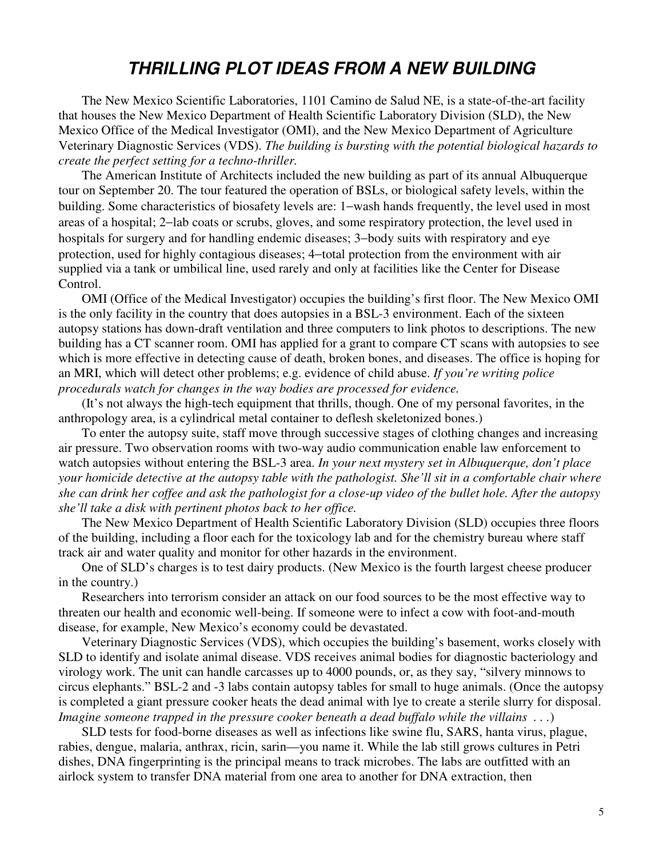# **THRILLING PLOT IDEAS FROM A NEW BUILDING**

The New Mexico Scientific Laboratories, 1101 Camino de Salud NE, is a state-of-the-art facility that houses the New Mexico Department of Health Scientific Laboratory Division (SLD), the New Mexico Office of the Medical Investigator (OMI), and the New Mexico Department of Agriculture Veterinary Diagnostic Services (VDS). *The building is bursting with the potential biological hazards to create the perfect setting for a techno-thriller.*

The American Institute of Architects included the new building as part of its annual Albuquerque tour on September 20. The tour featured the operation of BSLs, or biological safety levels, within the building. Some characteristics of biosafety levels are: 1−wash hands frequently, the level used in most areas of a hospital; 2−lab coats or scrubs, gloves, and some respiratory protection, the level used in hospitals for surgery and for handling endemic diseases; 3−body suits with respiratory and eye protection, used for highly contagious diseases; 4−total protection from the environment with air supplied via a tank or umbilical line, used rarely and only at facilities like the Center for Disease Control.

OMI (Office of the Medical Investigator) occupies the building's first floor. The New Mexico OMI is the only facility in the country that does autopsies in a BSL-3 environment. Each of the sixteen autopsy stations has down-draft ventilation and three computers to link photos to descriptions. The new building has a CT scanner room. OMI has applied for a grant to compare CT scans with autopsies to see which is more effective in detecting cause of death, broken bones, and diseases. The office is hoping for an MRI, which will detect other problems; e.g. evidence of child abuse. *If you're writing police procedurals watch for changes in the way bodies are processed for evidence.*

(It's not always the high-tech equipment that thrills, though. One of my personal favorites, in the anthropology area, is a cylindrical metal container to deflesh skeletonized bones.)

To enter the autopsy suite, staff move through successive stages of clothing changes and increasing air pressure. Two observation rooms with two-way audio communication enable law enforcement to watch autopsies without entering the BSL-3 area. *In your next mystery set in Albuquerque, don't place your homicide detective at the autopsy table with the pathologist. She'll sit in a comfortable chair where she can drink her coffee and ask the pathologist for a close-up video of the bullet hole. After the autopsy she'll take a disk with pertinent photos back to her office.*

The New Mexico Department of Health Scientific Laboratory Division (SLD) occupies three floors of the building, including a floor each for the toxicology lab and for the chemistry bureau where staff track air and water quality and monitor for other hazards in the environment.

One of SLD's charges is to test dairy products. (New Mexico is the fourth largest cheese producer in the country.)

Researchers into terrorism consider an attack on our food sources to be the most effective way to threaten our health and economic well-being. If someone were to infect a cow with foot-and-mouth disease, for example, New Mexico's economy could be devastated.

Veterinary Diagnostic Services (VDS), which occupies the building's basement, works closely with SLD to identify and isolate animal disease. VDS receives animal bodies for diagnostic bacteriology and virology work. The unit can handle carcasses up to 4000 pounds, or, as they say, "silvery minnows to circus elephants." BSL-2 and -3 labs contain autopsy tables for small to huge animals. (Once the autopsy is completed a giant pressure cooker heats the dead animal with lye to create a sterile slurry for disposal. *Imagine someone trapped in the pressure cooker beneath a dead buffalo while the villains . . .*)

SLD tests for food-borne diseases as well as infections like swine flu, SARS, hanta virus, plague, rabies, dengue, malaria, anthrax, ricin, sarin—you name it. While the lab still grows cultures in Petri dishes, DNA fingerprinting is the principal means to track microbes. The labs are outfitted with an airlock system to transfer DNA material from one area to another for DNA extraction, then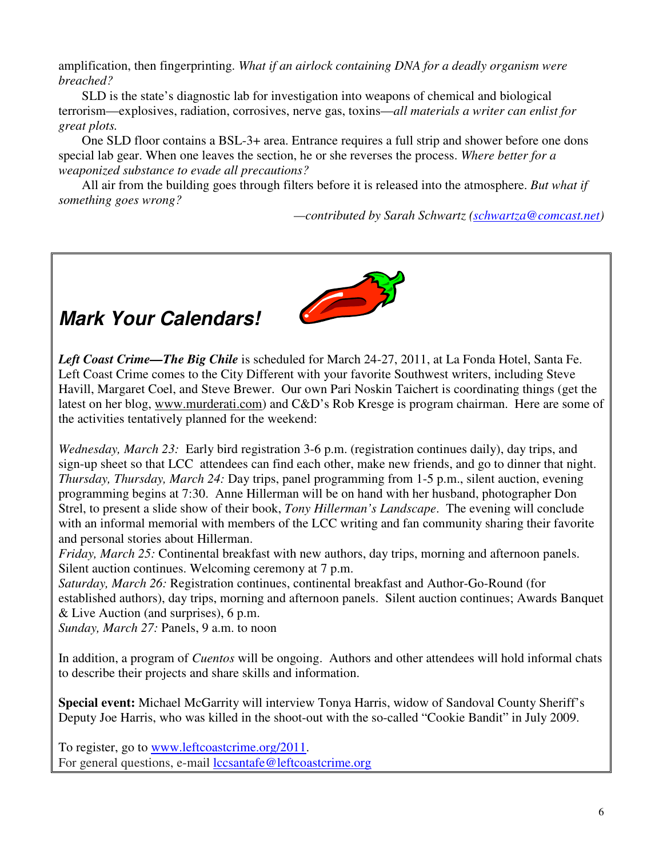amplification, then fingerprinting. *What if an airlock containing DNA for a deadly organism were breached?* 

SLD is the state's diagnostic lab for investigation into weapons of chemical and biological terrorism—explosives, radiation, corrosives, nerve gas, toxins—*all materials a writer can enlist for great plots.*

One SLD floor contains a BSL-3+ area. Entrance requires a full strip and shower before one dons special lab gear. When one leaves the section, he or she reverses the process. *Where better for a weaponized substance to evade all precautions?* 

All air from the building goes through filters before it is released into the atmosphere. *But what if something goes wrong?* 

*—contributed by Sarah Schwartz (schwartza@comcast.net)* 



# **Mark Your Calendars!**

*Left Coast Crime—The Big Chile* is scheduled for March 24-27, 2011, at La Fonda Hotel, Santa Fe. Left Coast Crime comes to the City Different with your favorite Southwest writers, including Steve Havill, Margaret Coel, and Steve Brewer. Our own Pari Noskin Taichert is coordinating things (get the latest on her blog, www.murderati.com) and C&D's Rob Kresge is program chairman. Here are some of the activities tentatively planned for the weekend:

*Wednesday, March 23:* Early bird registration 3-6 p.m. (registration continues daily), day trips, and sign-up sheet so that LCC attendees can find each other, make new friends, and go to dinner that night. *Thursday, Thursday, March 24:* Day trips, panel programming from 1-5 p.m., silent auction, evening programming begins at 7:30. Anne Hillerman will be on hand with her husband, photographer Don Strel, to present a slide show of their book, *Tony Hillerman's Landscape*. The evening will conclude with an informal memorial with members of the LCC writing and fan community sharing their favorite and personal stories about Hillerman.

*Friday, March 25:* Continental breakfast with new authors, day trips, morning and afternoon panels. Silent auction continues. Welcoming ceremony at 7 p.m.

*Saturday, March 26:* Registration continues, continental breakfast and Author-Go-Round (for established authors), day trips, morning and afternoon panels. Silent auction continues; Awards Banquet & Live Auction (and surprises), 6 p.m.

*Sunday, March 27:* Panels, 9 a.m. to noon

In addition, a program of *Cuentos* will be ongoing. Authors and other attendees will hold informal chats to describe their projects and share skills and information.

**Special event:** Michael McGarrity will interview Tonya Harris, widow of Sandoval County Sheriff's Deputy Joe Harris, who was killed in the shoot-out with the so-called "Cookie Bandit" in July 2009.

To register, go to www.leftcoastcrime.org/2011. For general questions, e-mail lccsantafe@leftcoastcrime.org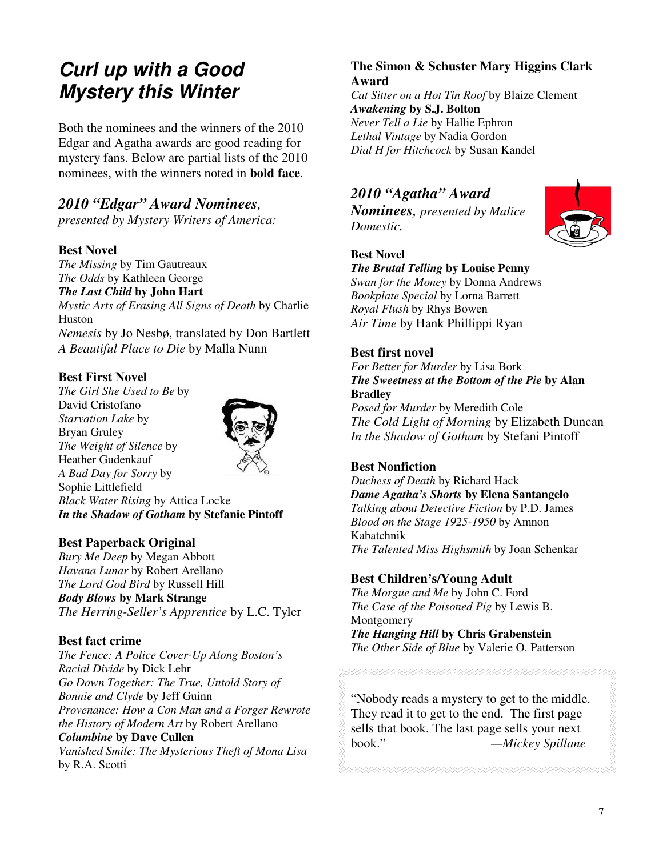# **Curl up with a Good Mystery this Winter**

Both the nominees and the winners of the 2010 Edgar and Agatha awards are good reading for mystery fans. Below are partial lists of the 2010 nominees, with the winners noted in **bold face**.

### *2010 "Edgar" Award Nominees,*

*presented by Mystery Writers of America:* 

#### **Best Novel**

*The Missing* by Tim Gautreaux *The Odds* by Kathleen George *The Last Child* **by John Hart**  *Mystic Arts of Erasing All Signs of Death* by Charlie Huston

*Nemesis* by Jo Nesbø, translated by Don Bartlett *A Beautiful Place to Die* by Malla Nunn

#### **Best First Novel**

*The Girl She Used to Be* by David Cristofano *Starvation Lake* by Bryan Gruley *The Weight of Silence* by Heather Gudenkauf *A Bad Day for Sorry* by Sophie Littlefield *Black Water Rising* by Attica Locke *In the Shadow of Gotham* **by Stefanie Pintoff** 

#### **Best Paperback Original**

*Bury Me Deep* by Megan Abbott *Havana Lunar* by Robert Arellano *The Lord God Bird* by Russell Hill *Body Blows* **by Mark Strange**  *The Herring-Seller's Apprentice* by L.C. Tyler

#### **Best fact crime**

*The Fence: A Police Cover-Up Along Boston's Racial Divide* by Dick Lehr *Go Down Together: The True, Untold Story of Bonnie and Clyde* by Jeff Guinn *Provenance: How a Con Man and a Forger Rewrote the History of Modern Art* by Robert Arellano *Columbine* **by Dave Cullen**  *Vanished Smile: The Mysterious Theft of Mona Lisa* by R.A. Scotti

#### **The Simon & Schuster Mary Higgins Clark Award**

*Cat Sitter on a Hot Tin Roof* by Blaize Clement *Awakening* **by S.J. Bolton**  *Never Tell a Lie* by Hallie Ephron *Lethal Vintage* by Nadia Gordon *Dial H for Hitchcock* by Susan Kandel

# *2010 "Agatha" Award*

*Nominees, presented by Malice Domestic.* 



#### **Best Novel**

*The Brutal Telling* **by Louise Penny**  *Swan for the Money* by Donna Andrews *Bookplate Special* by Lorna Barrett *Royal Flush* by Rhys Bowen *Air Time* by Hank Phillippi Ryan

#### **Best first novel**

*For Better for Murder* by Lisa Bork *The Sweetness at the Bottom of the Pie* **by Alan Bradley** 

*Posed for Murder* by Meredith Cole *The Cold Light of Morning* by Elizabeth Duncan *In the Shadow of Gotham* by Stefani Pintoff

#### **Best Nonfiction**

*Duchess of Death* by Richard Hack *Dame Agatha's Shorts* **by Elena Santangelo**  *Talking about Detective Fiction* by P.D. James *Blood on the Stage 1925-1950* by Amnon Kabatchnik *The Talented Miss Highsmith* by Joan Schenkar

#### **Best Children's/Young Adult**

*The Morgue and Me* by John C. Ford *The Case of the Poisoned Pig* by Lewis B. **Montgomery** *The Hanging Hill* **by Chris Grabenstein** 

*The Other Side of Blue* by Valerie O. Patterson

"Nobody reads a mystery to get to the middle. They read it to get to the end. The first page sells that book. The last page sells your next book." *—Mickey Spillane* 

7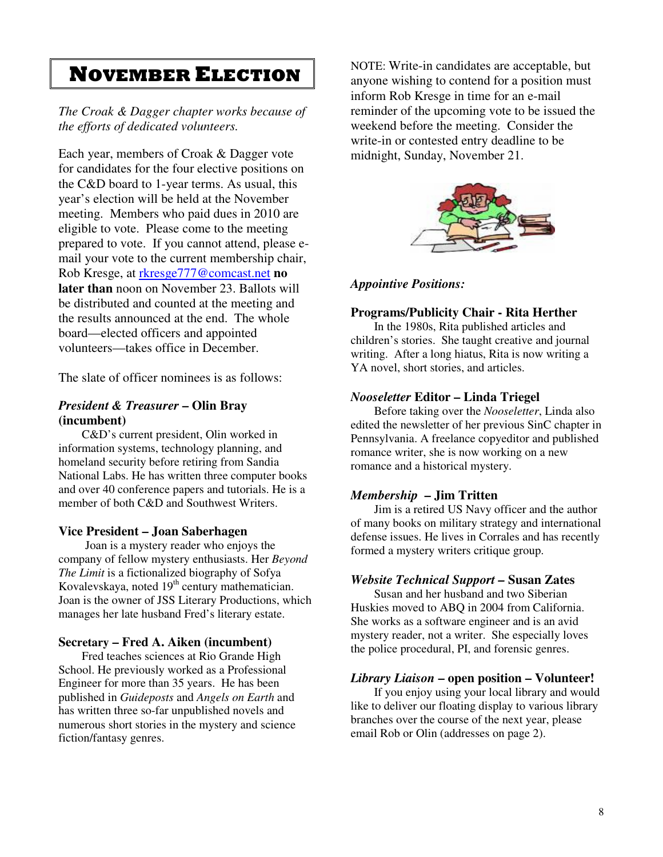# NOVEMBER ELECTION

*The Croak & Dagger chapter works because of the efforts of dedicated volunteers.* 

Each year, members of Croak & Dagger vote for candidates for the four elective positions on the C&D board to 1-year terms. As usual, this year's election will be held at the November meeting. Members who paid dues in 2010 are eligible to vote. Please come to the meeting prepared to vote. If you cannot attend, please email your vote to the current membership chair, Rob Kresge, at rkresge777@comcast.net **no later than** noon on November 23. Ballots will be distributed and counted at the meeting and the results announced at the end. The whole board—elected officers and appointed volunteers—takes office in December.

The slate of officer nominees is as follows:

#### *President & Treasurer* **– Olin Bray (incumbent)**

C&D's current president, Olin worked in information systems, technology planning, and homeland security before retiring from Sandia National Labs. He has written three computer books and over 40 conference papers and tutorials. He is a member of both C&D and Southwest Writers.

#### **Vice President – Joan Saberhagen**

 Joan is a mystery reader who enjoys the company of fellow mystery enthusiasts. Her *Beyond The Limit* is a fictionalized biography of Sofya Kovalevskaya, noted  $19<sup>th</sup>$  century mathematician. Joan is the owner of JSS Literary Productions, which manages her late husband Fred's literary estate.

#### **Secretary – Fred A. Aiken (incumbent)**

Fred teaches sciences at Rio Grande High School. He previously worked as a Professional Engineer for more than 35 years. He has been published in *Guideposts* and *Angels on Earth* and has written three so-far unpublished novels and numerous short stories in the mystery and science fiction/fantasy genres.

NOTE: Write-in candidates are acceptable, but anyone wishing to contend for a position must inform Rob Kresge in time for an e-mail reminder of the upcoming vote to be issued the weekend before the meeting. Consider the write-in or contested entry deadline to be midnight, Sunday, November 21.



#### *Appointive Positions:*

#### **Programs/Publicity Chair - Rita Herther**

In the 1980s, Rita published articles and children's stories. She taught creative and journal writing. After a long hiatus, Rita is now writing a YA novel, short stories, and articles.

#### *Nooseletter* **Editor – Linda Triegel**

 Before taking over the *Nooseletter*, Linda also edited the newsletter of her previous SinC chapter in Pennsylvania. A freelance copyeditor and published romance writer, she is now working on a new romance and a historical mystery.

#### *Membership* **– Jim Tritten**

 Jim is a retired US Navy officer and the author of many books on military strategy and international defense issues. He lives in Corrales and has recently formed a mystery writers critique group.

#### *Website Technical Support –* **Susan Zates**

Susan and her husband and two Siberian Huskies moved to ABQ in 2004 from California. She works as a software engineer and is an avid mystery reader, not a writer. She especially loves the police procedural, PI, and forensic genres.

#### *Library Liaison* **– open position – Volunteer!**

 If you enjoy using your local library and would like to deliver our floating display to various library branches over the course of the next year, please email Rob or Olin (addresses on page 2).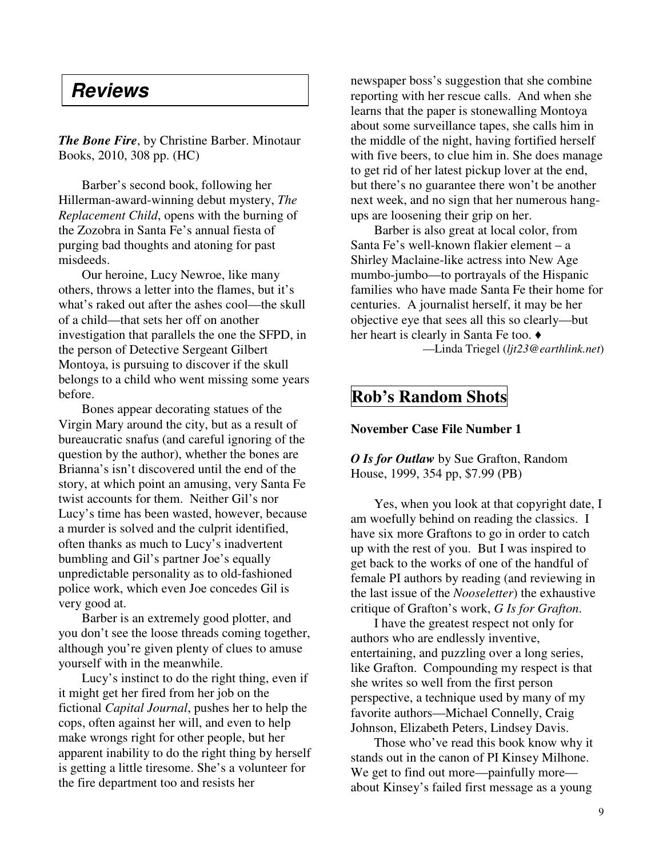# **Reviews**

*The Bone Fire*, by Christine Barber. Minotaur Books, 2010, 308 pp. (HC)

 Barber's second book, following her Hillerman-award-winning debut mystery, *The Replacement Child*, opens with the burning of the Zozobra in Santa Fe's annual fiesta of purging bad thoughts and atoning for past misdeeds.

 Our heroine, Lucy Newroe, like many others, throws a letter into the flames, but it's what's raked out after the ashes cool—the skull of a child—that sets her off on another investigation that parallels the one the SFPD, in the person of Detective Sergeant Gilbert Montoya, is pursuing to discover if the skull belongs to a child who went missing some years before.

 Bones appear decorating statues of the Virgin Mary around the city, but as a result of bureaucratic snafus (and careful ignoring of the question by the author), whether the bones are Brianna's isn't discovered until the end of the story, at which point an amusing, very Santa Fe twist accounts for them. Neither Gil's nor Lucy's time has been wasted, however, because a murder is solved and the culprit identified, often thanks as much to Lucy's inadvertent bumbling and Gil's partner Joe's equally unpredictable personality as to old-fashioned police work, which even Joe concedes Gil is very good at.

 Barber is an extremely good plotter, and you don't see the loose threads coming together, although you're given plenty of clues to amuse yourself with in the meanwhile.

 Lucy's instinct to do the right thing, even if it might get her fired from her job on the fictional *Capital Journal*, pushes her to help the cops, often against her will, and even to help make wrongs right for other people, but her apparent inability to do the right thing by herself is getting a little tiresome. She's a volunteer for the fire department too and resists her

newspaper boss's suggestion that she combine reporting with her rescue calls. And when she learns that the paper is stonewalling Montoya about some surveillance tapes, she calls him in the middle of the night, having fortified herself with five beers, to clue him in. She does manage to get rid of her latest pickup lover at the end, but there's no guarantee there won't be another next week, and no sign that her numerous hangups are loosening their grip on her.

 Barber is also great at local color, from Santa Fe's well-known flakier element – a Shirley Maclaine-like actress into New Age mumbo-jumbo—to portrayals of the Hispanic families who have made Santa Fe their home for centuries. A journalist herself, it may be her objective eye that sees all this so clearly—but her heart is clearly in Santa Fe too. ♦

—Linda Triegel (*ljt23@earthlink.net*)

### **Rob's Random Shots**

#### **November Case File Number 1**

*O Is for Outlaw* by Sue Grafton, Random House, 1999, 354 pp, \$7.99 (PB)

 Yes, when you look at that copyright date, I am woefully behind on reading the classics. I have six more Graftons to go in order to catch up with the rest of you. But I was inspired to get back to the works of one of the handful of female PI authors by reading (and reviewing in the last issue of the *Nooseletter*) the exhaustive critique of Grafton's work, *G Is for Grafton*.

 I have the greatest respect not only for authors who are endlessly inventive, entertaining, and puzzling over a long series, like Grafton. Compounding my respect is that she writes so well from the first person perspective, a technique used by many of my favorite authors—Michael Connelly, Craig Johnson, Elizabeth Peters, Lindsey Davis.

 Those who've read this book know why it stands out in the canon of PI Kinsey Milhone. We get to find out more—painfully more about Kinsey's failed first message as a young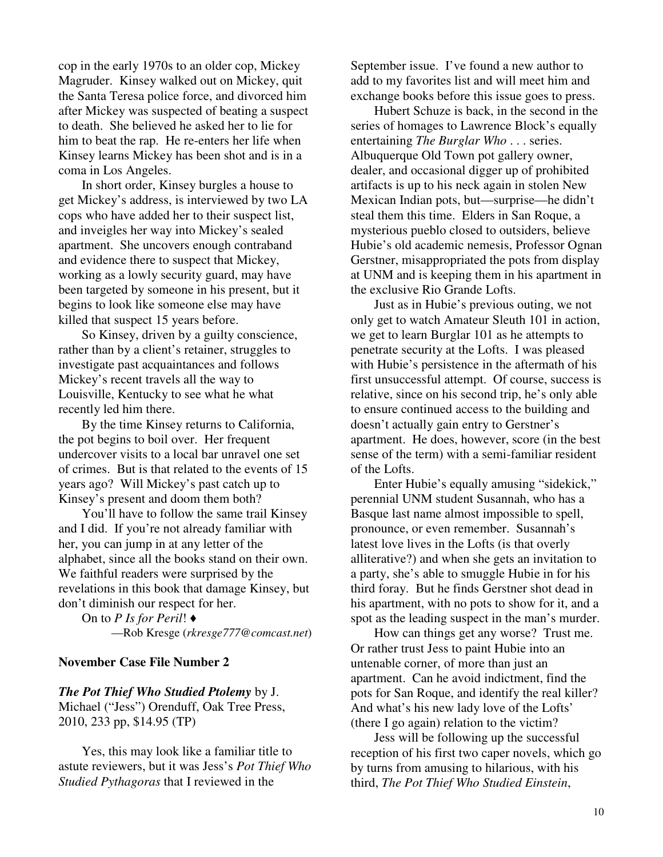cop in the early 1970s to an older cop, Mickey Magruder. Kinsey walked out on Mickey, quit the Santa Teresa police force, and divorced him after Mickey was suspected of beating a suspect to death. She believed he asked her to lie for him to beat the rap. He re-enters her life when Kinsey learns Mickey has been shot and is in a coma in Los Angeles.

 In short order, Kinsey burgles a house to get Mickey's address, is interviewed by two LA cops who have added her to their suspect list, and inveigles her way into Mickey's sealed apartment. She uncovers enough contraband and evidence there to suspect that Mickey, working as a lowly security guard, may have been targeted by someone in his present, but it begins to look like someone else may have killed that suspect 15 years before.

 So Kinsey, driven by a guilty conscience, rather than by a client's retainer, struggles to investigate past acquaintances and follows Mickey's recent travels all the way to Louisville, Kentucky to see what he what recently led him there.

 By the time Kinsey returns to California, the pot begins to boil over. Her frequent undercover visits to a local bar unravel one set of crimes. But is that related to the events of 15 years ago? Will Mickey's past catch up to Kinsey's present and doom them both?

 You'll have to follow the same trail Kinsey and I did. If you're not already familiar with her, you can jump in at any letter of the alphabet, since all the books stand on their own. We faithful readers were surprised by the revelations in this book that damage Kinsey, but don't diminish our respect for her.

 On to *P Is for Peril*! ♦ —Rob Kresge (*rkresge777@comcast.net*)

#### **November Case File Number 2**

#### *The Pot Thief Who Studied Ptolemy* by J. Michael ("Jess") Orenduff, Oak Tree Press, 2010, 233 pp, \$14.95 (TP)

 Yes, this may look like a familiar title to astute reviewers, but it was Jess's *Pot Thief Who Studied Pythagoras* that I reviewed in the

September issue. I've found a new author to add to my favorites list and will meet him and exchange books before this issue goes to press.

 Hubert Schuze is back, in the second in the series of homages to Lawrence Block's equally entertaining *The Burglar Who* . . . series. Albuquerque Old Town pot gallery owner, dealer, and occasional digger up of prohibited artifacts is up to his neck again in stolen New Mexican Indian pots, but—surprise—he didn't steal them this time. Elders in San Roque, a mysterious pueblo closed to outsiders, believe Hubie's old academic nemesis, Professor Ognan Gerstner, misappropriated the pots from display at UNM and is keeping them in his apartment in the exclusive Rio Grande Lofts.

 Just as in Hubie's previous outing, we not only get to watch Amateur Sleuth 101 in action, we get to learn Burglar 101 as he attempts to penetrate security at the Lofts. I was pleased with Hubie's persistence in the aftermath of his first unsuccessful attempt. Of course, success is relative, since on his second trip, he's only able to ensure continued access to the building and doesn't actually gain entry to Gerstner's apartment. He does, however, score (in the best sense of the term) with a semi-familiar resident of the Lofts.

 Enter Hubie's equally amusing "sidekick," perennial UNM student Susannah, who has a Basque last name almost impossible to spell, pronounce, or even remember. Susannah's latest love lives in the Lofts (is that overly alliterative?) and when she gets an invitation to a party, she's able to smuggle Hubie in for his third foray. But he finds Gerstner shot dead in his apartment, with no pots to show for it, and a spot as the leading suspect in the man's murder.

 How can things get any worse? Trust me. Or rather trust Jess to paint Hubie into an untenable corner, of more than just an apartment. Can he avoid indictment, find the pots for San Roque, and identify the real killer? And what's his new lady love of the Lofts' (there I go again) relation to the victim?

 Jess will be following up the successful reception of his first two caper novels, which go by turns from amusing to hilarious, with his third, *The Pot Thief Who Studied Einstein*,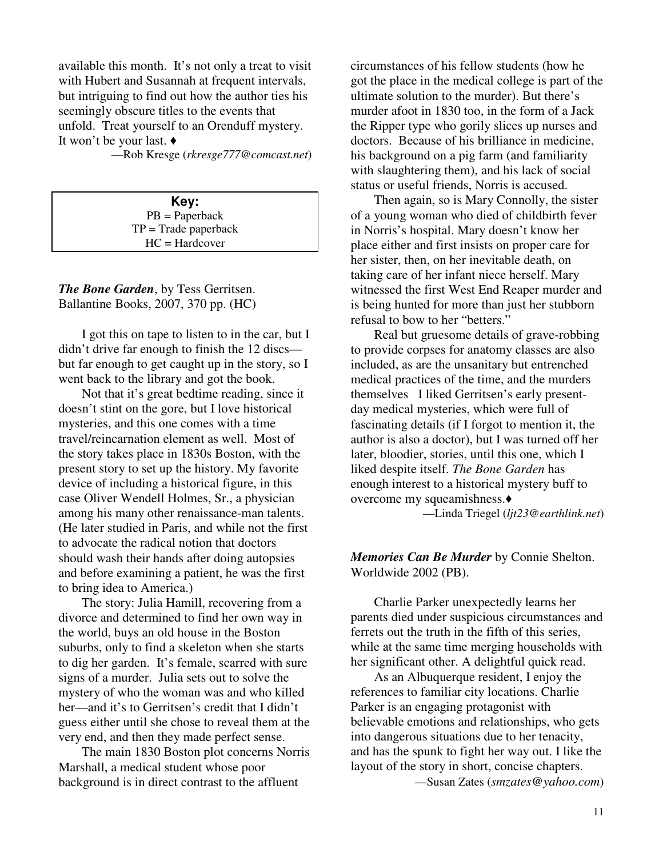available this month. It's not only a treat to visit with Hubert and Susannah at frequent intervals, but intriguing to find out how the author ties his seemingly obscure titles to the events that unfold. Treat yourself to an Orenduff mystery. It won't be your last. ♦

—Rob Kresge (*rkresge777@comcast.net*)

**Key:**  PB = Paperback  $TP = Trade$  paperback HC = Hardcover

*The Bone Garden*, by Tess Gerritsen. Ballantine Books, 2007, 370 pp. (HC)

 I got this on tape to listen to in the car, but I didn't drive far enough to finish the 12 discs but far enough to get caught up in the story, so I went back to the library and got the book.

 Not that it's great bedtime reading, since it doesn't stint on the gore, but I love historical mysteries, and this one comes with a time travel/reincarnation element as well. Most of the story takes place in 1830s Boston, with the present story to set up the history. My favorite device of including a historical figure, in this case Oliver Wendell Holmes, Sr., a physician among his many other renaissance-man talents. (He later studied in Paris, and while not the first to advocate the radical notion that doctors should wash their hands after doing autopsies and before examining a patient, he was the first to bring idea to America.)

 The story: Julia Hamill, recovering from a divorce and determined to find her own way in the world, buys an old house in the Boston suburbs, only to find a skeleton when she starts to dig her garden. It's female, scarred with sure signs of a murder. Julia sets out to solve the mystery of who the woman was and who killed her—and it's to Gerritsen's credit that I didn't guess either until she chose to reveal them at the very end, and then they made perfect sense.

 The main 1830 Boston plot concerns Norris Marshall, a medical student whose poor background is in direct contrast to the affluent

circumstances of his fellow students (how he got the place in the medical college is part of the ultimate solution to the murder). But there's murder afoot in 1830 too, in the form of a Jack the Ripper type who gorily slices up nurses and doctors. Because of his brilliance in medicine, his background on a pig farm (and familiarity with slaughtering them), and his lack of social status or useful friends, Norris is accused.

 Then again, so is Mary Connolly, the sister of a young woman who died of childbirth fever in Norris's hospital. Mary doesn't know her place either and first insists on proper care for her sister, then, on her inevitable death, on taking care of her infant niece herself. Mary witnessed the first West End Reaper murder and is being hunted for more than just her stubborn refusal to bow to her "betters."

 Real but gruesome details of grave-robbing to provide corpses for anatomy classes are also included, as are the unsanitary but entrenched medical practices of the time, and the murders themselves I liked Gerritsen's early presentday medical mysteries, which were full of fascinating details (if I forgot to mention it, the author is also a doctor), but I was turned off her later, bloodier, stories, until this one, which I liked despite itself. *The Bone Garden* has enough interest to a historical mystery buff to overcome my squeamishness.♦ —Linda Triegel (*ljt23@earthlink.net*)

*Memories Can Be Murder* by Connie Shelton. Worldwide 2002 (PB).

 Charlie Parker unexpectedly learns her parents died under suspicious circumstances and ferrets out the truth in the fifth of this series, while at the same time merging households with her significant other. A delightful quick read.

 As an Albuquerque resident, I enjoy the references to familiar city locations. Charlie Parker is an engaging protagonist with believable emotions and relationships, who gets into dangerous situations due to her tenacity, and has the spunk to fight her way out. I like the layout of the story in short, concise chapters. —Susan Zates (*smzates@yahoo.com*)